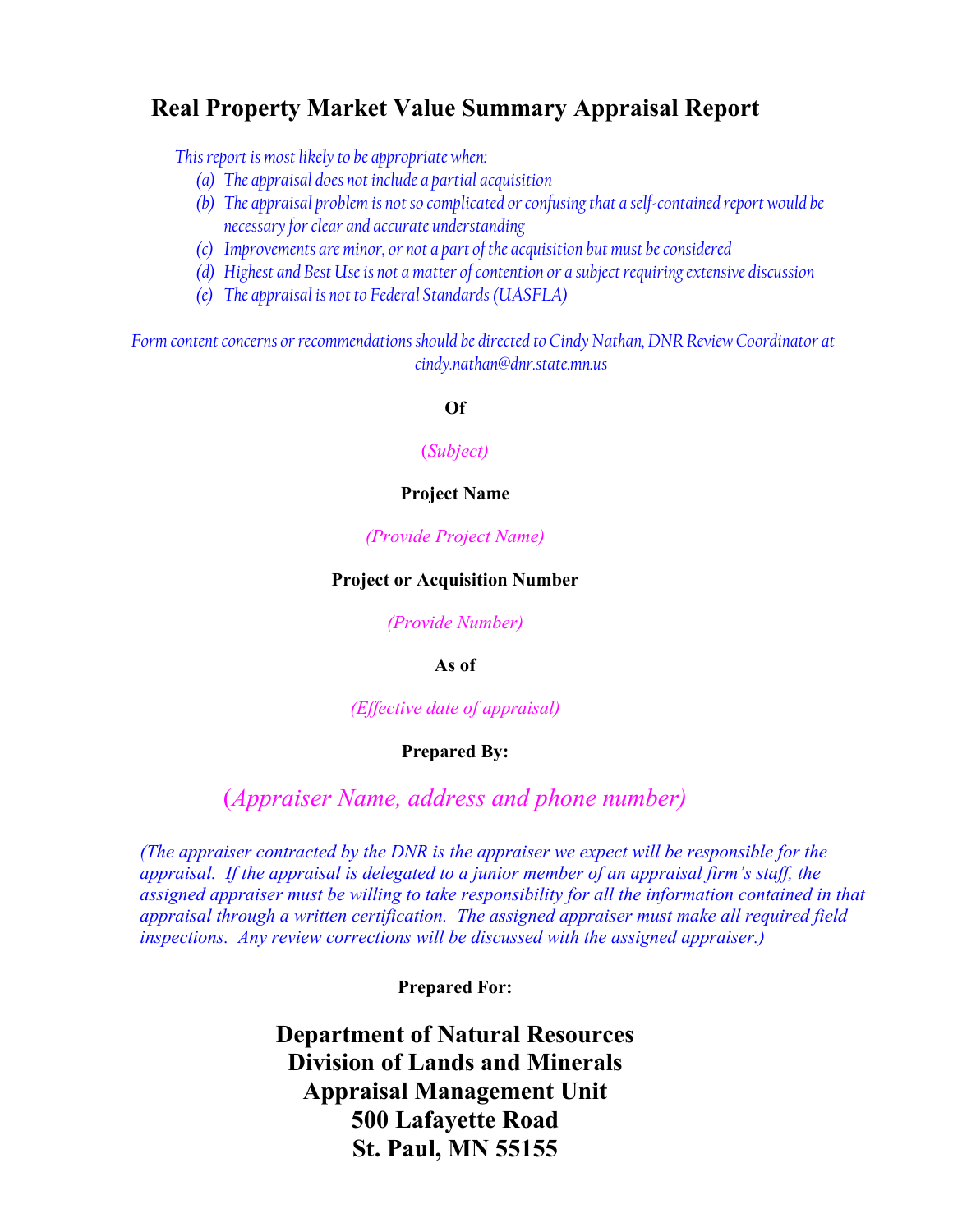# **Real Property Market Value Summary Appraisal Report**

*This report is most likely to be appropriate when:* 

- *(a) The appraisal does not include a partial acquisition*
- *(b) The appraisal problem is not so complicated or confusing that a self-contained report would be necessary for clear and accurate understanding*
- *(c) Improvements are minor, or not a part of the acquisition but must be considered*
- *(d) Highest and Best Use is not a matter of contention or a subject requiring extensive discussion*
- *(e) The appraisal is not to Federal Standards (UASFLA)*

*Form content concerns or recommendations should be directed to Cindy Nathan, DNR Review Coordinator at cindy.nathan@dnr.state.mn.us* 

#### **Of**

#### (*Subject)*

#### **Project Name**

*(Provide Project Name)* 

#### **Project or Acquisition Number**

*(Provide Number)* 

#### **As of**

*(Effective date of appraisal)*

#### **Prepared By:**

## (*Appraiser Name, address and phone number)*

*(The appraiser contracted by the DNR is the appraiser we expect will be responsible for the appraisal. If the appraisal is delegated to a junior member of an appraisal firm's staff, the assigned appraiser must be willing to take responsibility for all the information contained in that appraisal through a written certification. The assigned appraiser must make all required field inspections. Any review corrections will be discussed with the assigned appraiser.)* 

#### **Prepared For:**

**Department of Natural Resources Division of Lands and Minerals Appraisal Management Unit 500 Lafayette Road St. Paul, MN 55155**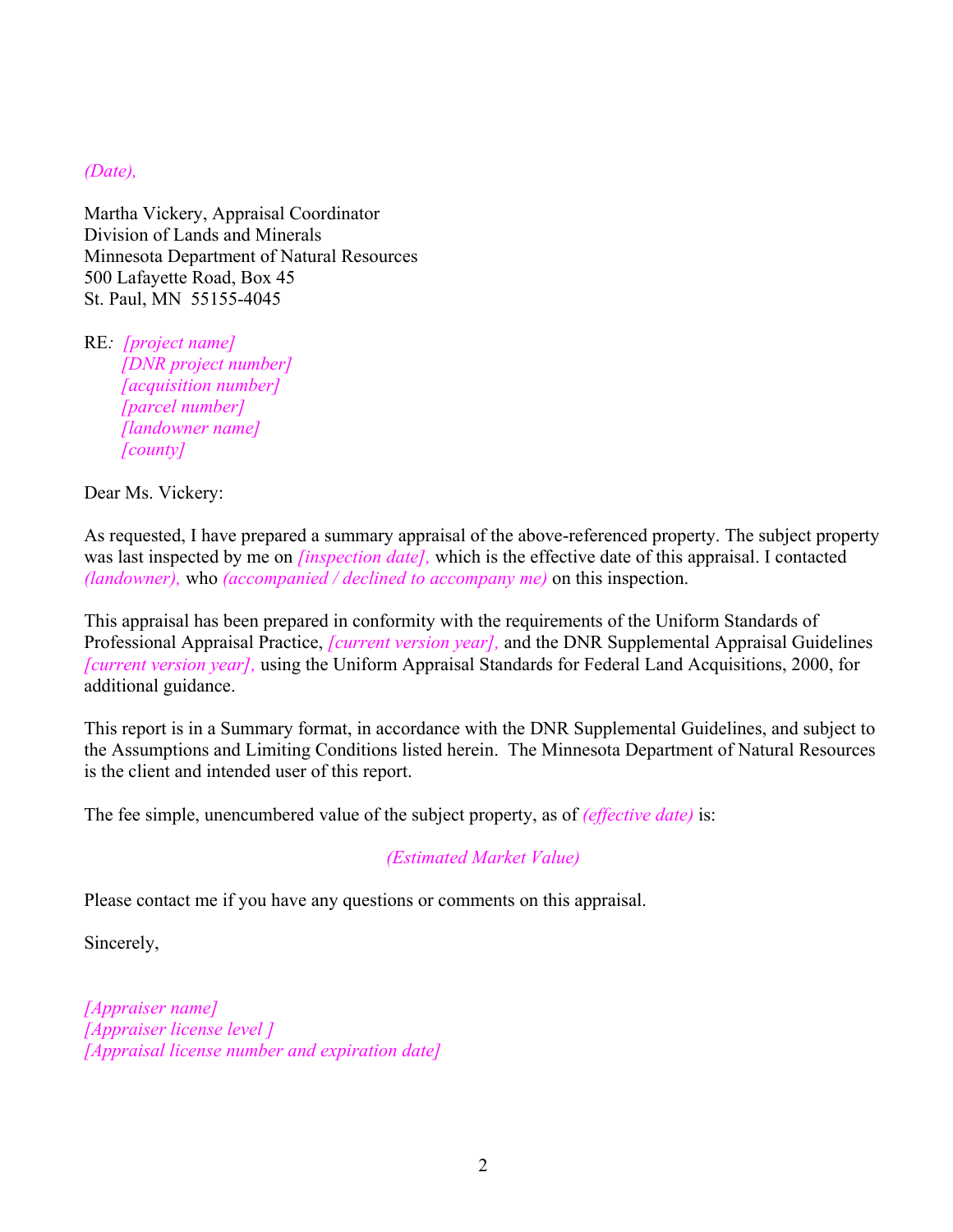*(Date),*

Martha Vickery, Appraisal Coordinator Division of Lands and Minerals Minnesota Department of Natural Resources 500 Lafayette Road, Box 45 St. Paul, MN 55155-4045

RE*: [project name] [DNR project number] [acquisition number] [parcel number] [landowner name] [county]* 

Dear Ms. Vickery:

As requested, I have prepared a summary appraisal of the above-referenced property. The subject property was last inspected by me on *[inspection date],* which is the effective date of this appraisal. I contacted *(landowner),* who *(accompanied / declined to accompany me)* on this inspection.

This appraisal has been prepared in conformity with the requirements of the Uniform Standards of Professional Appraisal Practice, *[current version year],* and the DNR Supplemental Appraisal Guidelines *[current version year],* using the Uniform Appraisal Standards for Federal Land Acquisitions, 2000, for additional guidance.

This report is in a Summary format, in accordance with the DNR Supplemental Guidelines, and subject to the Assumptions and Limiting Conditions listed herein. The Minnesota Department of Natural Resources is the client and intended user of this report.

The fee simple, unencumbered value of the subject property, as of *(effective date)* is:

## *(Estimated Market Value)*

Please contact me if you have any questions or comments on this appraisal.

Sincerely,

*[Appraiser name] [Appraiser license level ] [Appraisal license number and expiration date]*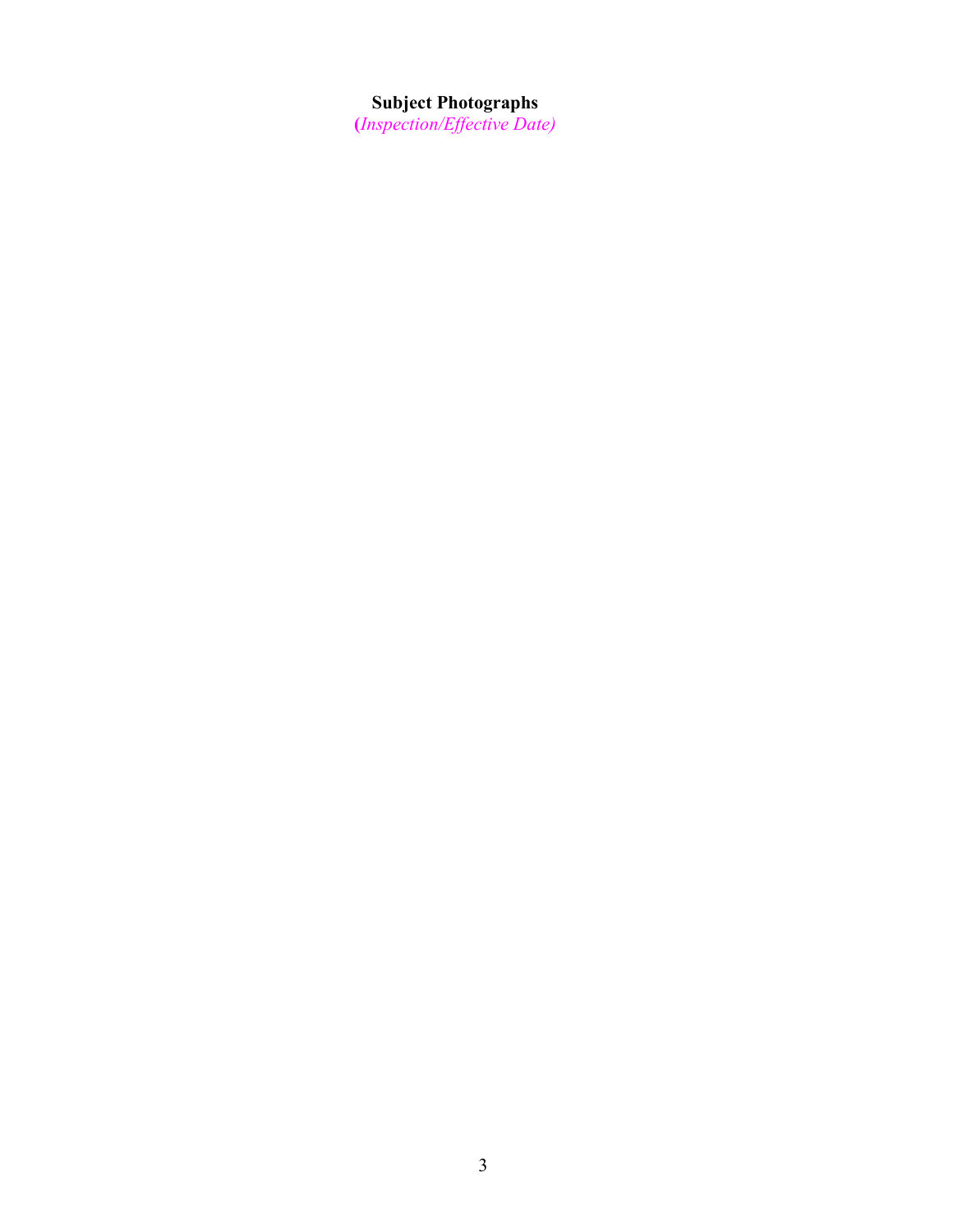#### **Subject Photographs**

**(***Inspection/Effective Date)*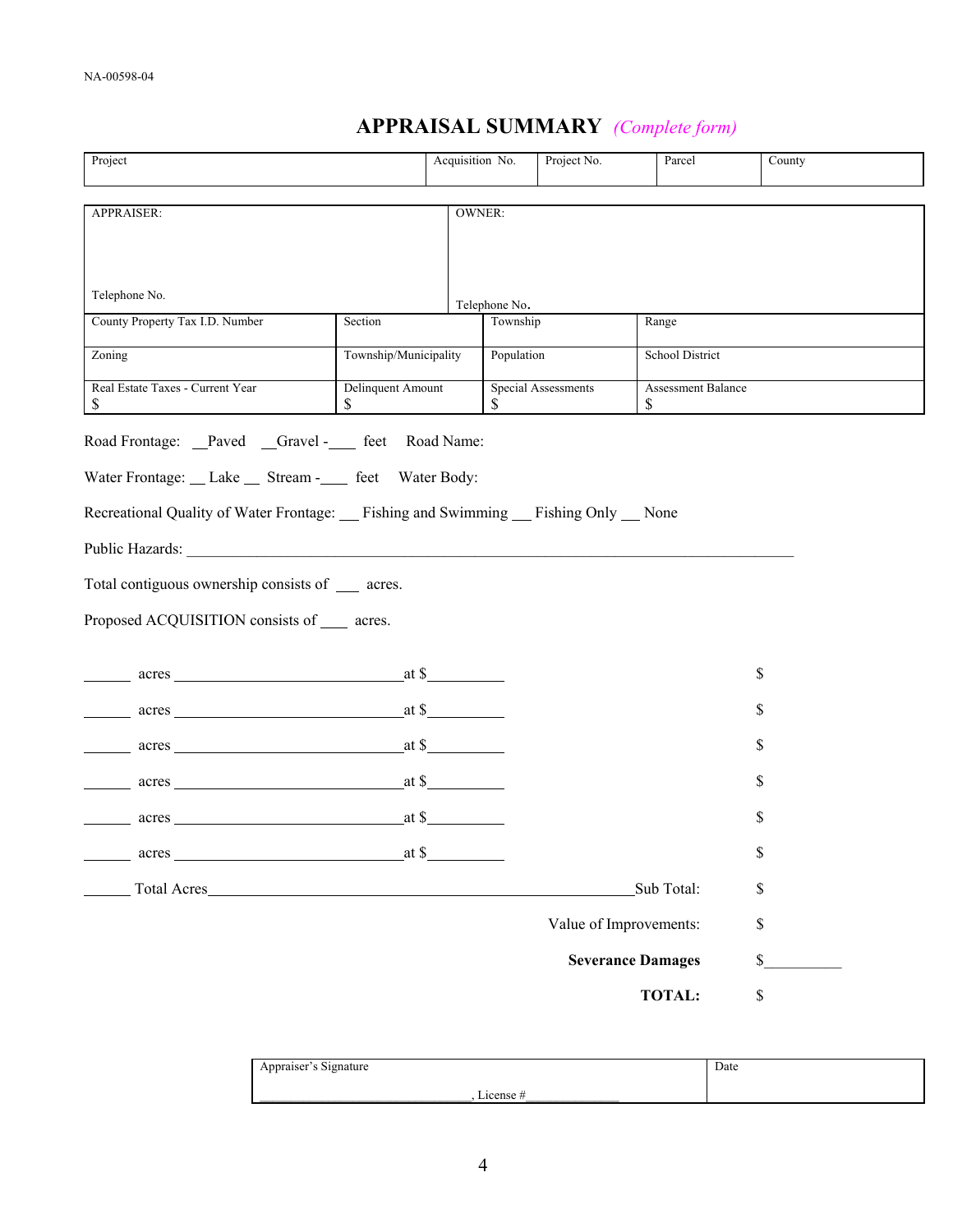# **APPRAISAL SUMMARY** *(Complete form)*

| Project                                                                                                                                                                                                                        |                          | Acquisition No.                       |            | Project No.                                            | Parcel          | County |
|--------------------------------------------------------------------------------------------------------------------------------------------------------------------------------------------------------------------------------|--------------------------|---------------------------------------|------------|--------------------------------------------------------|-----------------|--------|
| APPRAISER:                                                                                                                                                                                                                     |                          | <b>OWNER:</b>                         |            |                                                        |                 |        |
|                                                                                                                                                                                                                                |                          |                                       |            |                                                        |                 |        |
| Telephone No.                                                                                                                                                                                                                  |                          |                                       |            |                                                        |                 |        |
|                                                                                                                                                                                                                                |                          | Telephone No.                         |            |                                                        |                 |        |
| County Property Tax I.D. Number                                                                                                                                                                                                | Section                  |                                       | Township   |                                                        | Range           |        |
| Zoning                                                                                                                                                                                                                         | Township/Municipality    |                                       | Population |                                                        | School District |        |
| Real Estate Taxes - Current Year<br>\$                                                                                                                                                                                         | Delinquent Amount<br>\$  |                                       | \$         | <b>Special Assessments</b><br>Assessment Balance<br>\$ |                 |        |
| Road Frontage: _Paved _Gravel -____ feet Road Name:                                                                                                                                                                            |                          |                                       |            |                                                        |                 |        |
| Water Frontage: __ Lake __ Stream -____ feet Water Body:                                                                                                                                                                       |                          |                                       |            |                                                        |                 |        |
|                                                                                                                                                                                                                                |                          |                                       |            |                                                        |                 |        |
| Recreational Quality of Water Frontage: Fishing and Swimming Fishing Only None                                                                                                                                                 |                          |                                       |            |                                                        |                 |        |
| Public Hazards: New York and Separate Separate Separate Separate Separate Separate Separate Separate Separate Separate Separate Separate Separate Separate Separate Separate Separate Separate Separate Separate Separate Sepa |                          |                                       |            |                                                        |                 |        |
| Total contiguous ownership consists of ____ acres.                                                                                                                                                                             |                          |                                       |            |                                                        |                 |        |
| Proposed ACQUISITION consists of _____ acres.                                                                                                                                                                                  |                          |                                       |            |                                                        |                 |        |
|                                                                                                                                                                                                                                |                          |                                       |            |                                                        |                 |        |
| acres and the set of the set of the set of the set of the set of the set of the set of the set of the set of the set of the set of the set of the set of the set of the set of the set of the set of the set of the set of the |                          | at $\frac{\text{at } \mathcal{S}}{2}$ |            |                                                        |                 | \$     |
| acres and the contract of the contract of the contract of the contract of the contract of the contract of the contract of the contract of the contract of the contract of the contract of the contract of the contract of the  |                          | at $\frac{\text{at } \text{S}}{2}$    |            |                                                        |                 | S      |
| acres acres                                                                                                                                                                                                                    |                          | $at$ \$                               |            |                                                        |                 | \$     |
| acres and the state of the state of the state of the state of the state of the state of the state of the state of the state of the state of the state of the state of the state of the state of the state of the state of the  |                          | at $\sim$                             |            |                                                        |                 | \$     |
| $\frac{\text{acres}}{\text{acres}}$                                                                                                                                                                                            |                          | at $\frac{\mathsf{a}}{\mathsf{a}}$    |            |                                                        |                 | \$     |
|                                                                                                                                                                                                                                | at \$                    |                                       |            |                                                        |                 | \$     |
| Total Acres                                                                                                                                                                                                                    |                          |                                       |            |                                                        | Sub Total:      | \$     |
|                                                                                                                                                                                                                                |                          |                                       |            | Value of Improvements:                                 |                 | \$     |
|                                                                                                                                                                                                                                | <b>Severance Damages</b> |                                       |            |                                                        | \$              |        |
|                                                                                                                                                                                                                                |                          |                                       |            |                                                        | <b>TOTAL:</b>   | \$     |
|                                                                                                                                                                                                                                |                          |                                       |            |                                                        |                 |        |

| $\sim$<br>Appraiser's Signature | Date |
|---------------------------------|------|
| License                         |      |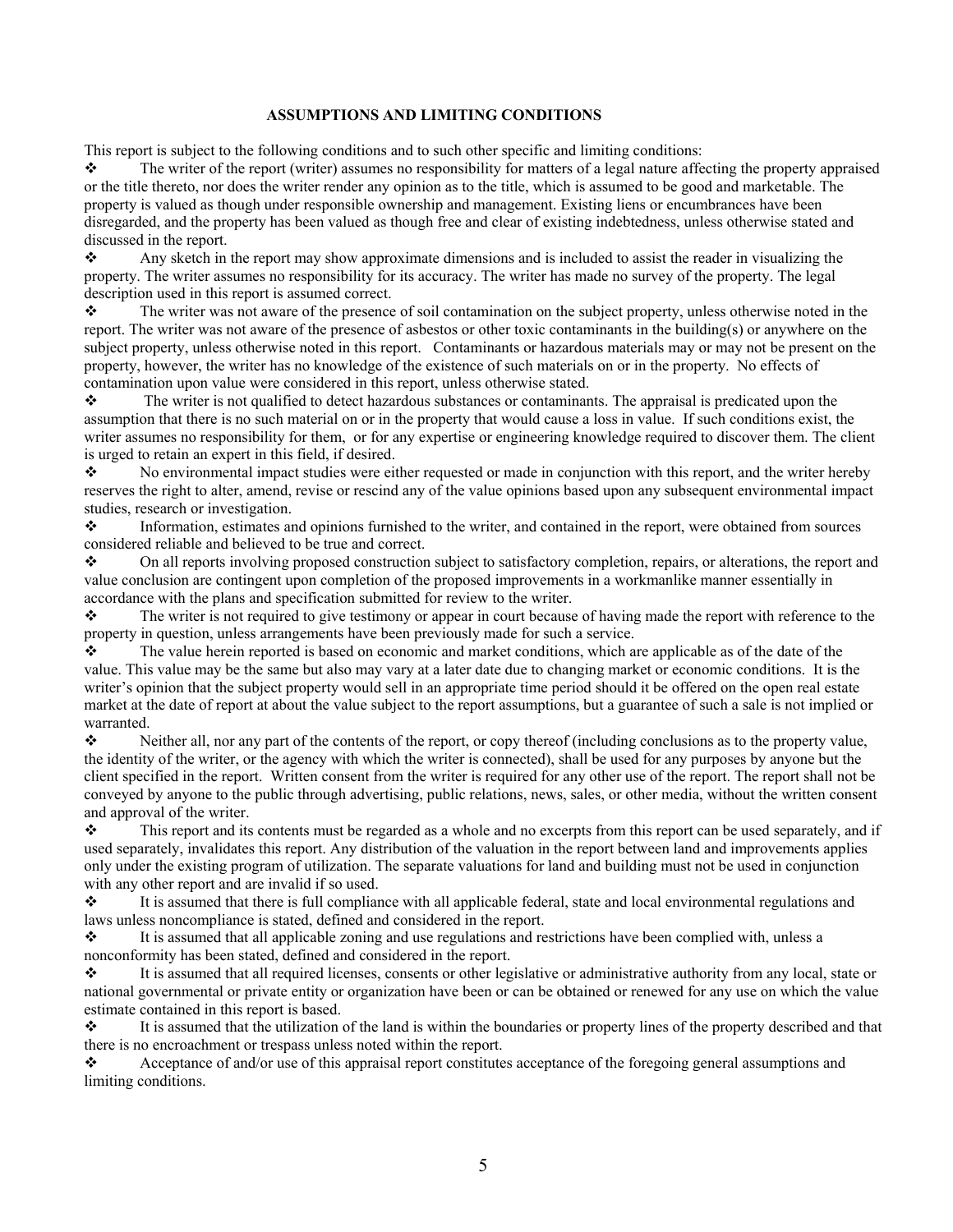#### **ASSUMPTIONS AND LIMITING CONDITIONS**

This report is subject to the following conditions and to such other specific and limiting conditions:

 $\bullet$  The writer of the report (writer) assumes no responsibility for matters of a legal nature affecting the property appraised or the title thereto, nor does the writer render any opinion as to the title, which is assumed to be good and marketable. The property is valued as though under responsible ownership and management. Existing liens or encumbrances have been disregarded, and the property has been valued as though free and clear of existing indebtedness, unless otherwise stated and discussed in the report.

Any sketch in the report may show approximate dimensions and is included to assist the reader in visualizing the property. The writer assumes no responsibility for its accuracy. The writer has made no survey of the property. The legal description used in this report is assumed correct.

 $\mathbf{\hat{z}}$  The writer was not aware of the presence of soil contamination on the subject property, unless otherwise noted in the report. The writer was not aware of the presence of asbestos or other toxic contaminants in the building(s) or anywhere on the subject property, unless otherwise noted in this report. Contaminants or hazardous materials may or may not be present on the property, however, the writer has no knowledge of the existence of such materials on or in the property. No effects of contamination upon value were considered in this report, unless otherwise stated.

 $\bullet$  The writer is not qualified to detect hazardous substances or contaminants. The appraisal is predicated upon the assumption that there is no such material on or in the property that would cause a loss in value. If such conditions exist, the writer assumes no responsibility for them, or for any expertise or engineering knowledge required to discover them. The client is urged to retain an expert in this field, if desired.

 $\bullet$  No environmental impact studies were either requested or made in conjunction with this report, and the writer hereby reserves the right to alter, amend, revise or rescind any of the value opinions based upon any subsequent environmental impact studies, research or investigation.

 Information, estimates and opinions furnished to the writer, and contained in the report, were obtained from sources considered reliable and believed to be true and correct.

 On all reports involving proposed construction subject to satisfactory completion, repairs, or alterations, the report and value conclusion are contingent upon completion of the proposed improvements in a workmanlike manner essentially in accordance with the plans and specification submitted for review to the writer.

 $\bullet$  The writer is not required to give testimony or appear in court because of having made the report with reference to the property in question, unless arrangements have been previously made for such a service.

 $\bullet$  The value herein reported is based on economic and market conditions, which are applicable as of the date of the value. This value may be the same but also may vary at a later date due to changing market or economic conditions. It is the writer's opinion that the subject property would sell in an appropriate time period should it be offered on the open real estate market at the date of report at about the value subject to the report assumptions, but a guarantee of such a sale is not implied or warranted.

Neither all, nor any part of the contents of the report, or copy thereof (including conclusions as to the property value, the identity of the writer, or the agency with which the writer is connected), shall be used for any purposes by anyone but the client specified in the report. Written consent from the writer is required for any other use of the report. The report shall not be conveyed by anyone to the public through advertising, public relations, news, sales, or other media, without the written consent and approval of the writer.

 $\bullet$  This report and its contents must be regarded as a whole and no excerpts from this report can be used separately, and if used separately, invalidates this report. Any distribution of the valuation in the report between land and improvements applies only under the existing program of utilization. The separate valuations for land and building must not be used in conjunction with any other report and are invalid if so used.

 It is assumed that there is full compliance with all applicable federal, state and local environmental regulations and laws unless noncompliance is stated, defined and considered in the report.

 It is assumed that all applicable zoning and use regulations and restrictions have been complied with, unless a nonconformity has been stated, defined and considered in the report.

 $\bullet$  It is assumed that all required licenses, consents or other legislative or administrative authority from any local, state or national governmental or private entity or organization have been or can be obtained or renewed for any use on which the value estimate contained in this report is based.

 $\bullet$  It is assumed that the utilization of the land is within the boundaries or property lines of the property described and that there is no encroachment or trespass unless noted within the report.

\* Acceptance of and/or use of this appraisal report constitutes acceptance of the foregoing general assumptions and limiting conditions.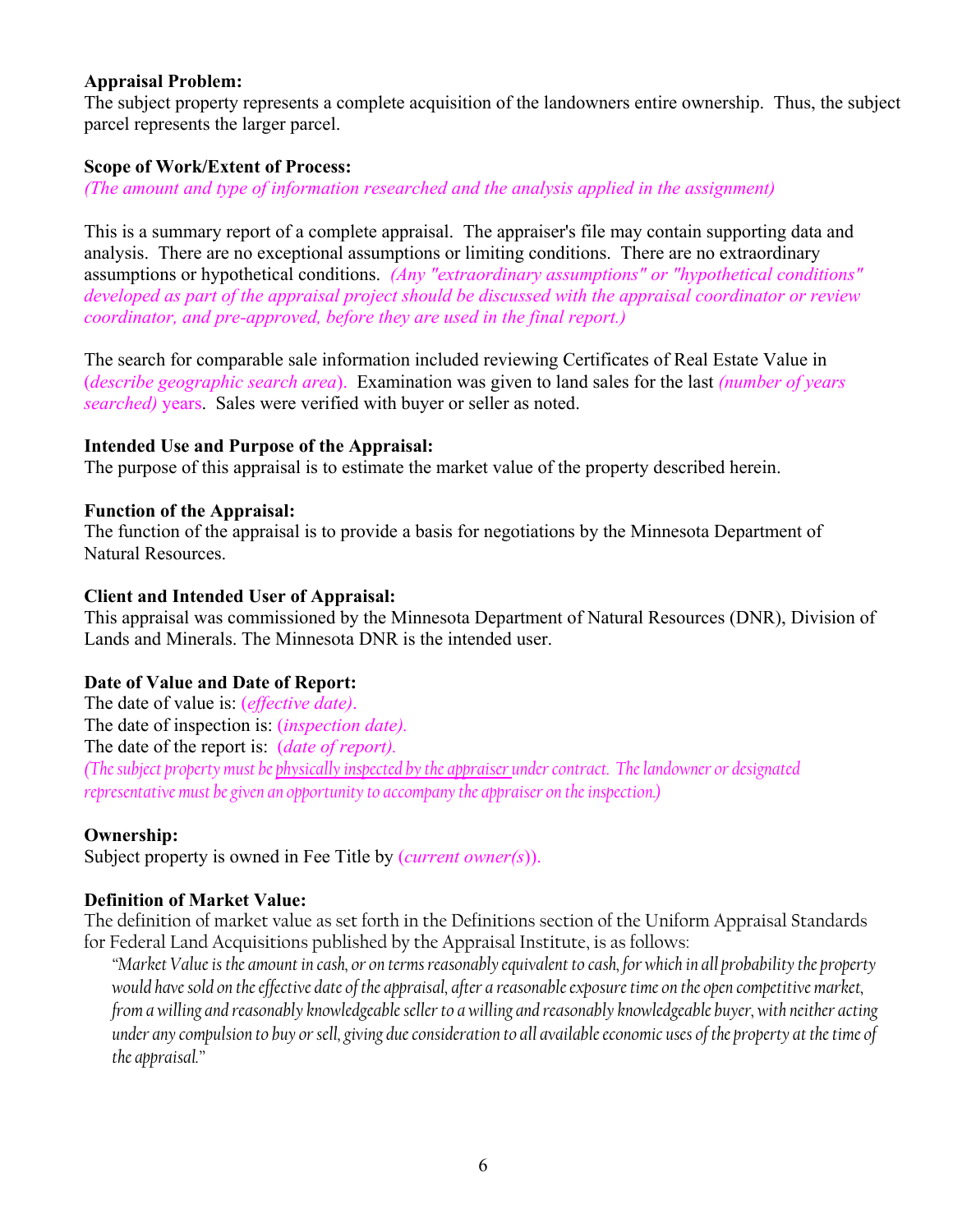## **Appraisal Problem:**

The subject property represents a complete acquisition of the landowners entire ownership. Thus, the subject parcel represents the larger parcel.

#### **Scope of Work/Extent of Process:**

*(The amount and type of information researched and the analysis applied in the assignment)* 

This is a summary report of a complete appraisal. The appraiser's file may contain supporting data and analysis. There are no exceptional assumptions or limiting conditions. There are no extraordinary assumptions or hypothetical conditions. *(Any "extraordinary assumptions" or "hypothetical conditions" developed as part of the appraisal project should be discussed with the appraisal coordinator or review coordinator, and pre-approved, before they are used in the final report.)* 

The search for comparable sale information included reviewing Certificates of Real Estate Value in (*describe geographic search area*). Examination was given to land sales for the last *(number of years searched)* years. Sales were verified with buyer or seller as noted.

#### **Intended Use and Purpose of the Appraisal:**

The purpose of this appraisal is to estimate the market value of the property described herein.

#### **Function of the Appraisal:**

The function of the appraisal is to provide a basis for negotiations by the Minnesota Department of Natural Resources.

#### **Client and Intended User of Appraisal:**

This appraisal was commissioned by the Minnesota Department of Natural Resources (DNR), Division of Lands and Minerals. The Minnesota DNR is the intended user.

#### **Date of Value and Date of Report:**

The date of value is: (*effective date)*. The date of inspection is: (*inspection date).* The date of the report is: (*date of report). (The subject property must be physically inspected by the appraiser under contract. The landowner or designated representative must be given an opportunity to accompany the appraiser on the inspection.)*

#### **Ownership:**

Subject property is owned in Fee Title by (*current owner(s*)).

#### **Definition of Market Value:**

The definition of market value as set forth in the Definitions section of the Uniform Appraisal Standards for Federal Land Acquisitions published by the Appraisal Institute, is as follows:

*"Market Value is the amount in cash, or on terms reasonably equivalent to cash, for which in all probability the property would have sold on the effective date of the appraisal, after a reasonable exposure time on the open competitive market, from a willing and reasonably knowledgeable seller to a willing and reasonably knowledgeable buyer, with neither acting under any compulsion to buy or sell, giving due consideration to all available economic uses of the property at the time of the appraisal."*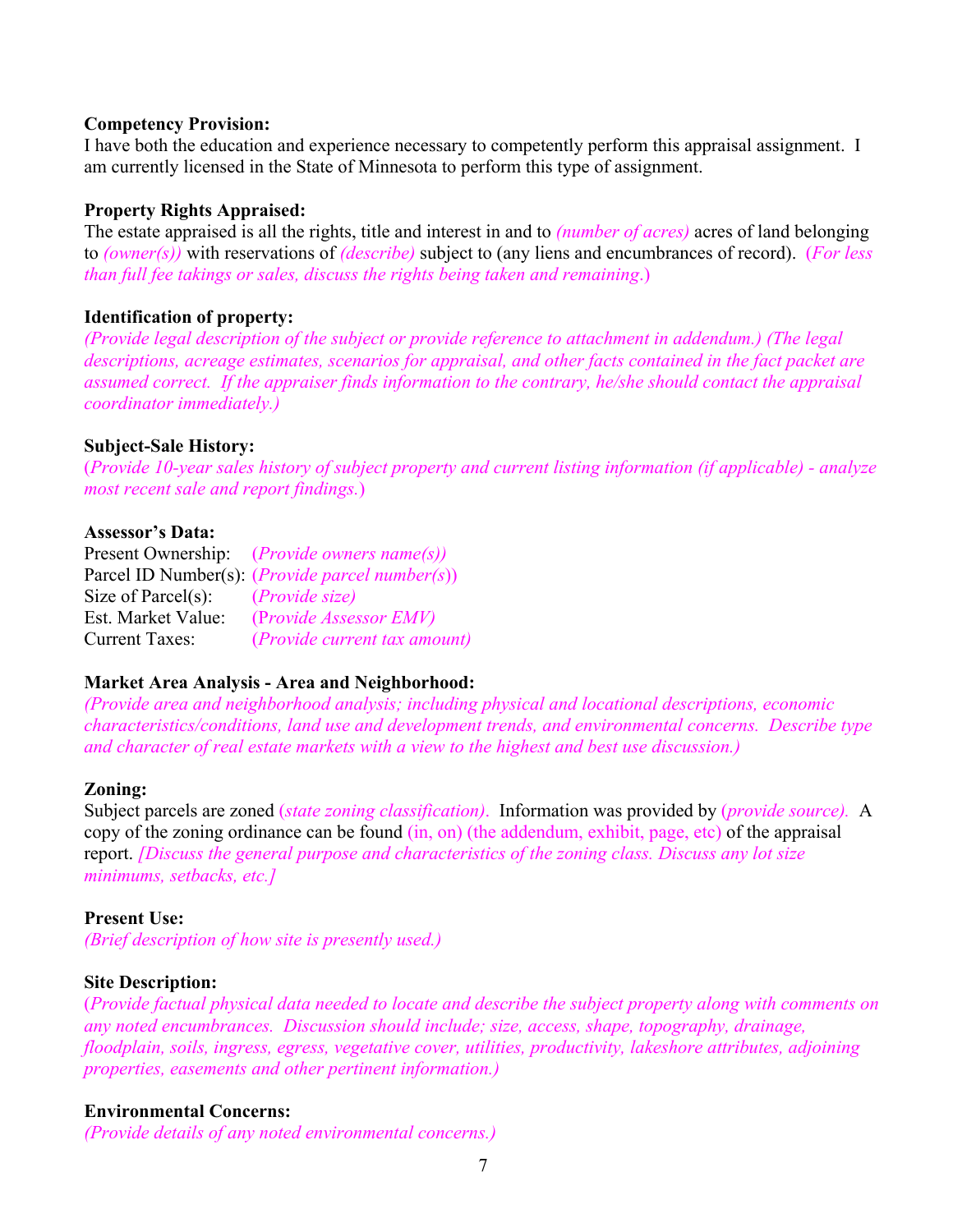#### **Competency Provision:**

I have both the education and experience necessary to competently perform this appraisal assignment. I am currently licensed in the State of Minnesota to perform this type of assignment.

#### **Property Rights Appraised:**

The estate appraised is all the rights, title and interest in and to *(number of acres)* acres of land belonging to *(owner(s))* with reservations of *(describe)* subject to (any liens and encumbrances of record). (*For less than full fee takings or sales, discuss the rights being taken and remaining*.)

#### **Identification of property:**

*(Provide legal description of the subject or provide reference to attachment in addendum.) (The legal descriptions, acreage estimates, scenarios for appraisal, and other facts contained in the fact packet are assumed correct. If the appraiser finds information to the contrary, he/she should contact the appraisal coordinator immediately.)* 

#### **Subject-Sale History:**

(*Provide 10-year sales history of subject property and current listing information (if applicable) - analyze most recent sale and report findings.*)

#### **Assessor's Data:**

|                        | Present Ownership: ( <i>Provide owners name(s)</i> )     |
|------------------------|----------------------------------------------------------|
|                        | Parcel ID Number(s): ( <i>Provide parcel number(s)</i> ) |
| Size of Parcel $(s)$ : | <i>(Provide size)</i>                                    |
| Est. Market Value:     | (Provide Assessor EMV)                                   |
| <b>Current Taxes:</b>  | ( <i>Provide current tax amount</i> )                    |

#### **Market Area Analysis - Area and Neighborhood:**

*(Provide area and neighborhood analysis; including physical and locational descriptions, economic characteristics/conditions, land use and development trends, and environmental concerns. Describe type and character of real estate markets with a view to the highest and best use discussion.)* 

#### **Zoning:**

Subject parcels are zoned (*state zoning classification)*. Information was provided by (*provide source).* A copy of the zoning ordinance can be found (in, on) (the addendum, exhibit, page, etc) of the appraisal report. *[Discuss the general purpose and characteristics of the zoning class. Discuss any lot size minimums, setbacks, etc.]* 

#### **Present Use:**

*(Brief description of how site is presently used.)* 

#### **Site Description:**

(*Provide factual physical data needed to locate and describe the subject property along with comments on any noted encumbrances. Discussion should include; size, access, shape, topography, drainage, floodplain, soils, ingress, egress, vegetative cover, utilities, productivity, lakeshore attributes, adjoining properties, easements and other pertinent information.)* 

#### **Environmental Concerns:**

*(Provide details of any noted environmental concerns.)*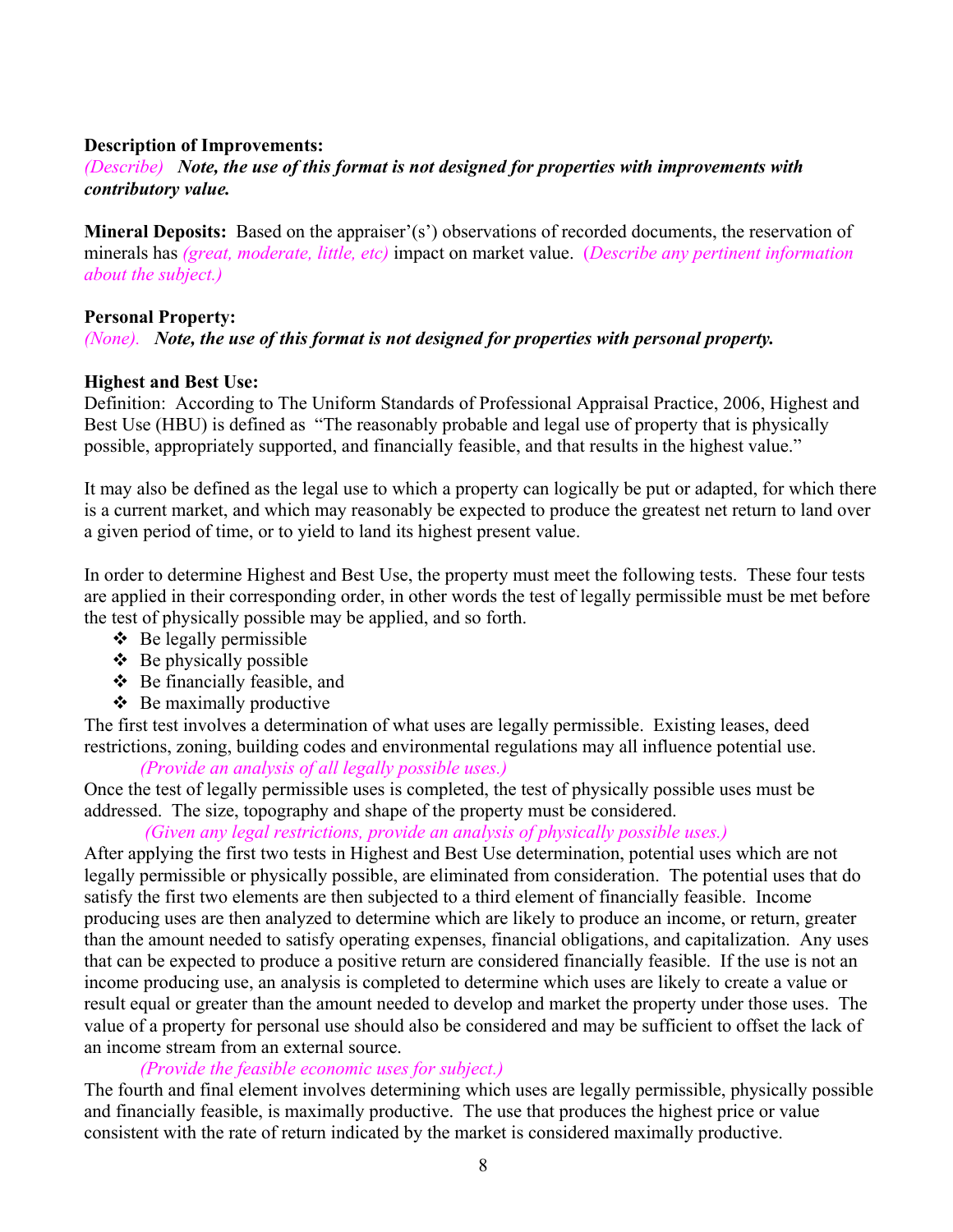#### **Description of Improvements:**

## *(Describe) Note, the use of this format is not designed for properties with improvements with contributory value.*

**Mineral Deposits:** Based on the appraiser'(s') observations of recorded documents, the reservation of minerals has *(great, moderate, little, etc)* impact on market value. (*Describe any pertinent information about the subject.)*

#### **Personal Property:**

#### *(None). Note, the use of this format is not designed for properties with personal property.*

#### **Highest and Best Use:**

Definition: According to The Uniform Standards of Professional Appraisal Practice, 2006, Highest and Best Use (HBU) is defined as "The reasonably probable and legal use of property that is physically possible, appropriately supported, and financially feasible, and that results in the highest value."

It may also be defined as the legal use to which a property can logically be put or adapted, for which there is a current market, and which may reasonably be expected to produce the greatest net return to land over a given period of time, or to yield to land its highest present value.

In order to determine Highest and Best Use, the property must meet the following tests. These four tests are applied in their corresponding order, in other words the test of legally permissible must be met before the test of physically possible may be applied, and so forth.

- $\triangle$  Be legally permissible
- $\triangle$  Be physically possible
- $\triangle$  Be financially feasible, and
- $\triangle$  Be maximally productive

The first test involves a determination of what uses are legally permissible. Existing leases, deed restrictions, zoning, building codes and environmental regulations may all influence potential use.

*(Provide an analysis of all legally possible uses.)* 

Once the test of legally permissible uses is completed, the test of physically possible uses must be addressed. The size, topography and shape of the property must be considered.

#### *(Given any legal restrictions, provide an analysis of physically possible uses.)*

After applying the first two tests in Highest and Best Use determination, potential uses which are not legally permissible or physically possible, are eliminated from consideration. The potential uses that do satisfy the first two elements are then subjected to a third element of financially feasible. Income producing uses are then analyzed to determine which are likely to produce an income, or return, greater than the amount needed to satisfy operating expenses, financial obligations, and capitalization. Any uses that can be expected to produce a positive return are considered financially feasible. If the use is not an income producing use, an analysis is completed to determine which uses are likely to create a value or result equal or greater than the amount needed to develop and market the property under those uses. The value of a property for personal use should also be considered and may be sufficient to offset the lack of an income stream from an external source.

#### *(Provide the feasible economic uses for subject.)*

The fourth and final element involves determining which uses are legally permissible, physically possible and financially feasible, is maximally productive. The use that produces the highest price or value consistent with the rate of return indicated by the market is considered maximally productive.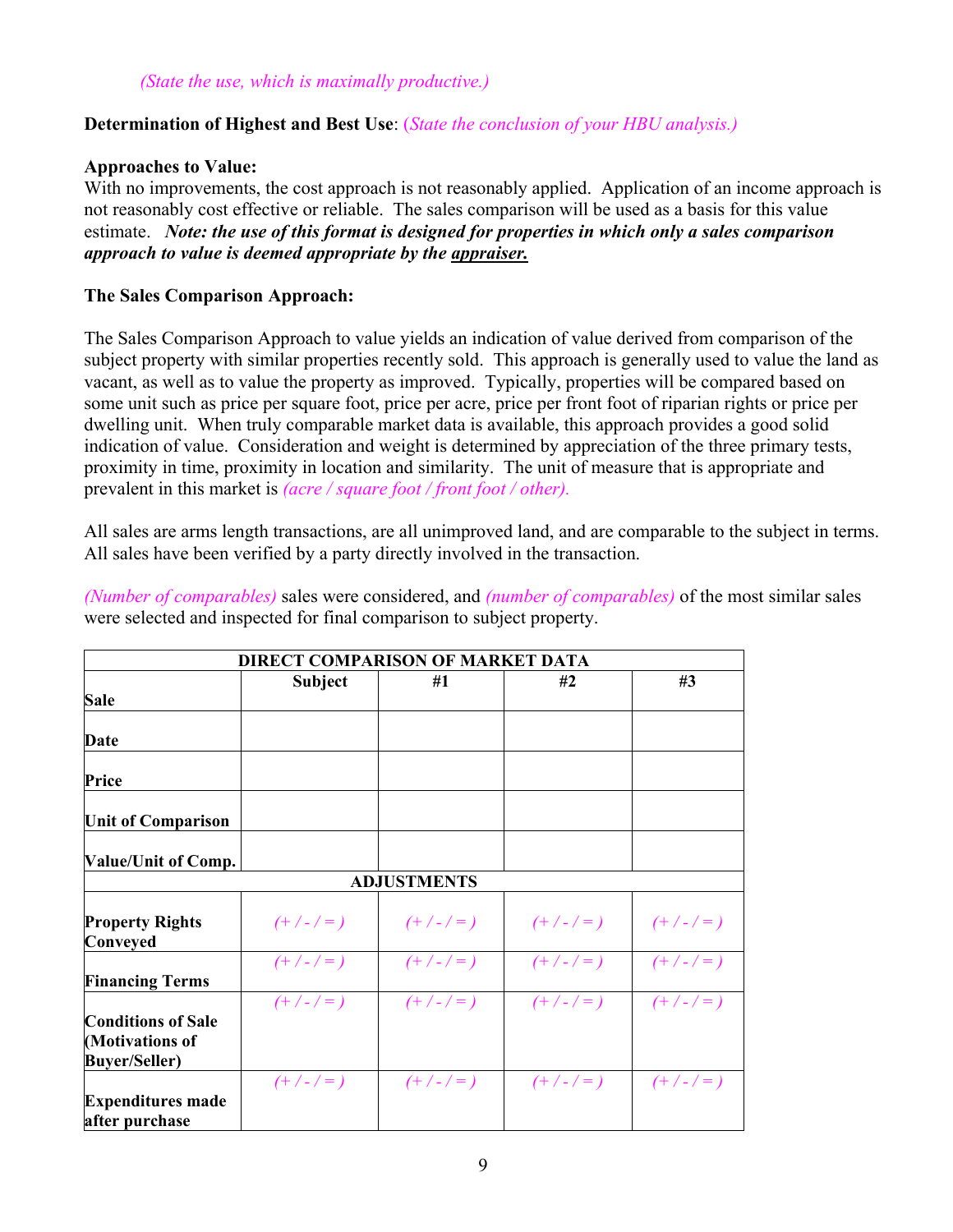## **Determination of Highest and Best Use**: (*State the conclusion of your HBU analysis.)*

## **Approaches to Value:**

With no improvements, the cost approach is not reasonably applied. Application of an income approach is not reasonably cost effective or reliable. The sales comparison will be used as a basis for this value estimate. *Note: the use of this format is designed for properties in which only a sales comparison approach to value is deemed appropriate by the appraiser.*

## **The Sales Comparison Approach:**

The Sales Comparison Approach to value yields an indication of value derived from comparison of the subject property with similar properties recently sold. This approach is generally used to value the land as vacant, as well as to value the property as improved. Typically, properties will be compared based on some unit such as price per square foot, price per acre, price per front foot of riparian rights or price per dwelling unit. When truly comparable market data is available, this approach provides a good solid indication of value. Consideration and weight is determined by appreciation of the three primary tests, proximity in time, proximity in location and similarity. The unit of measure that is appropriate and prevalent in this market is *(acre / square foot / front foot / other).* 

All sales are arms length transactions, are all unimproved land, and are comparable to the subject in terms. All sales have been verified by a party directly involved in the transaction.

*(Number of comparables)* sales were considered, and *(number of comparables)* of the most similar sales were selected and inspected for final comparison to subject property.

|                                                                      | <b>DIRECT COMPARISON OF MARKET DATA</b> |                    |           |           |  |
|----------------------------------------------------------------------|-----------------------------------------|--------------------|-----------|-----------|--|
|                                                                      | #1<br><b>Subject</b>                    |                    | #2        | #3        |  |
| Sale                                                                 |                                         |                    |           |           |  |
| Date                                                                 |                                         |                    |           |           |  |
| Price                                                                |                                         |                    |           |           |  |
| <b>Unit of Comparison</b>                                            |                                         |                    |           |           |  |
| <b>Value/Unit of Comp.</b>                                           |                                         |                    |           |           |  |
|                                                                      |                                         | <b>ADJUSTMENTS</b> |           |           |  |
| <b>Property Rights</b><br>Conveyed                                   | $(+/-/-)$                               | $(+/-/-)$          | $(+/-/-)$ | $(+/-/-)$ |  |
| <b>Financing Terms</b>                                               | $(+/-/-)$                               | $(+/-/-)$          | $(+/-/-)$ | $(+/-/-)$ |  |
| <b>Conditions of Sale</b><br>(Motivations of<br><b>Buyer/Seller)</b> | $(+/-/-)$                               | $(+/-/-)$          | $(+/-/-)$ | $(+/-/-)$ |  |
| <b>Expenditures made</b><br>after purchase                           | $(+/-/-)$                               | $(+/-/-)$          | $(+/-/-)$ | $(+/-/-)$ |  |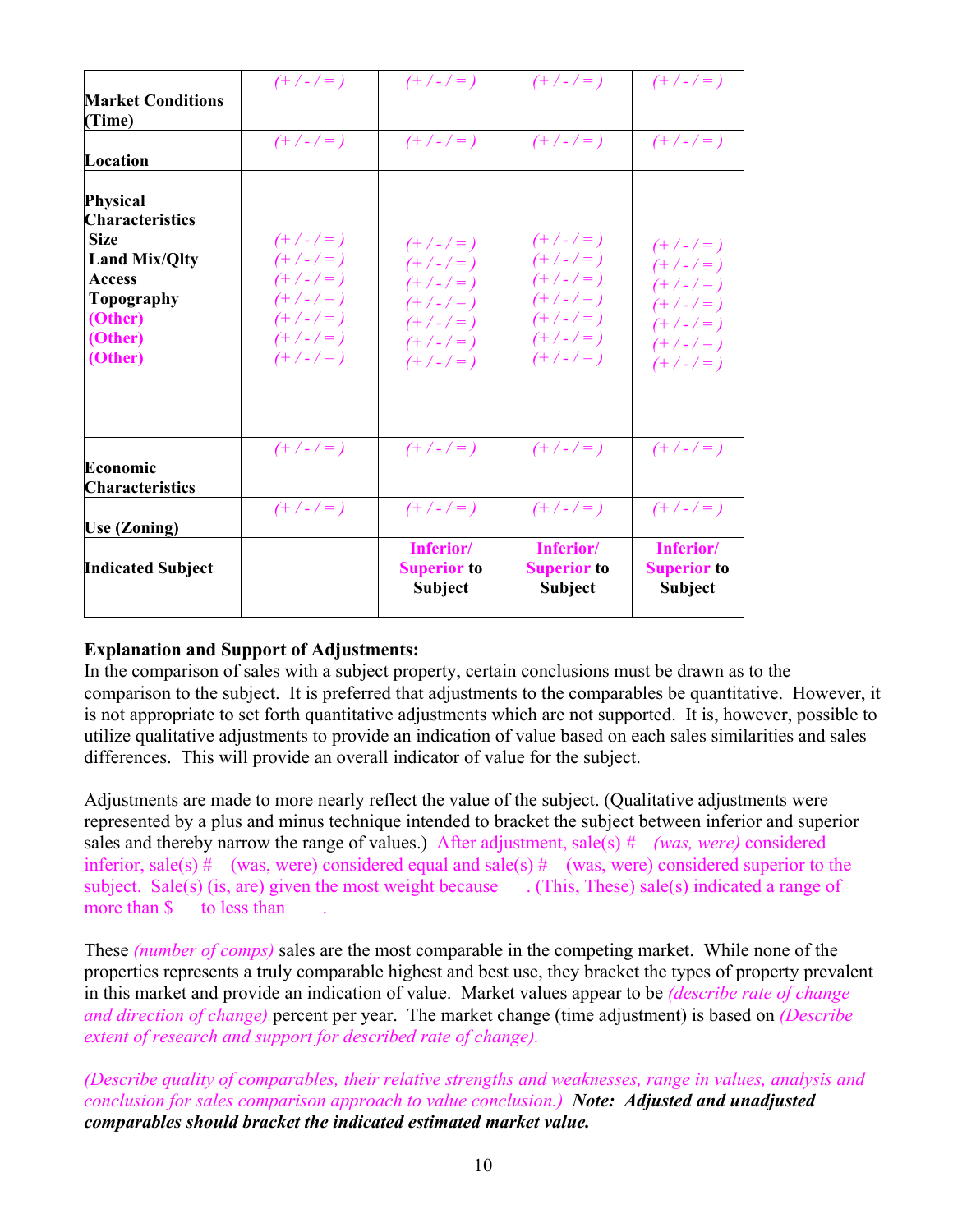| <b>Indicated Subject</b>                                                                                                                         |                                                                                         | Inferior/<br><b>Superior to</b><br>Subject                                              | Inferior/<br><b>Superior to</b><br>Subject                                              | Inferior/<br><b>Superior to</b><br><b>Subject</b>                                       |
|--------------------------------------------------------------------------------------------------------------------------------------------------|-----------------------------------------------------------------------------------------|-----------------------------------------------------------------------------------------|-----------------------------------------------------------------------------------------|-----------------------------------------------------------------------------------------|
| <b>Use (Zoning)</b>                                                                                                                              | $(+/-/-)$                                                                               | $(+/-/-)$                                                                               | $(+/-/-)$                                                                               | $(+/-/-)$                                                                               |
| Economic<br><b>Characteristics</b>                                                                                                               | $(+/-/-)$                                                                               | $(+/-/-)$                                                                               | $(+/-/-)$                                                                               | $(+/-/-)$                                                                               |
| <b>Physical</b><br><b>Characteristics</b><br><b>Size</b><br><b>Land Mix/Qlty</b><br><b>Access</b><br>Topography<br>(Other)<br>(Other)<br>(Other) | $(+/-/-)$<br>$(+/-/-)$<br>$(+/-/-)$<br>$(+/-/-)$<br>$(+/-/-)$<br>$(+/-/-)$<br>$(+/-/-)$ | $(+/-/-)$<br>$(+/-/-)$<br>$(+/-/-)$<br>$(+/-/-)$<br>$(+/-/-)$<br>$(+/-/-)$<br>$(+/-/-)$ | $(+/-/-)$<br>$(+/-/-)$<br>$(+/-/-)$<br>$(+/-/-)$<br>$(+/-/-)$<br>$(+/-/-)$<br>$(+/-/-)$ | $(+/-/-)$<br>$(+/-/-)$<br>$(+/-/-)$<br>$(+/-/-)$<br>$(+/-/-)$<br>$(+/-/-)$<br>$(+/-/-)$ |
| Location                                                                                                                                         | $(+/-/-)$                                                                               | $(+/-/-)$                                                                               | $(+/-/-)$                                                                               | $(+/-/-)$                                                                               |
| <b>Market Conditions</b><br>(Time)                                                                                                               | $(+/-/-)$                                                                               | $(+/-/-)$                                                                               | $(+/-/-)$                                                                               | $(+/-/-)$                                                                               |

## **Explanation and Support of Adjustments:**

In the comparison of sales with a subject property, certain conclusions must be drawn as to the comparison to the subject. It is preferred that adjustments to the comparables be quantitative. However, it is not appropriate to set forth quantitative adjustments which are not supported. It is, however, possible to utilize qualitative adjustments to provide an indication of value based on each sales similarities and sales differences. This will provide an overall indicator of value for the subject.

Adjustments are made to more nearly reflect the value of the subject. (Qualitative adjustments were represented by a plus and minus technique intended to bracket the subject between inferior and superior sales and thereby narrow the range of values.) After adjustment, sale(s) *# (was, were)* considered inferior, sale(s)  $\#$  (was, were) considered equal and sale(s)  $\#$  (was, were) considered superior to the subject. Sale(s) (is, are) given the most weight because . (This, These) sale(s) indicated a range of more than  $\sinh 0$  to less than

These *(number of comps)* sales are the most comparable in the competing market. While none of the properties represents a truly comparable highest and best use, they bracket the types of property prevalent in this market and provide an indication of value. Market values appear to be *(describe rate of change and direction of change)* percent per year. The market change (time adjustment) is based on *(Describe extent of research and support for described rate of change).* 

*(Describe quality of comparables, their relative strengths and weaknesses, range in values, analysis and conclusion for sales comparison approach to value conclusion.) Note: Adjusted and unadjusted comparables should bracket the indicated estimated market value.*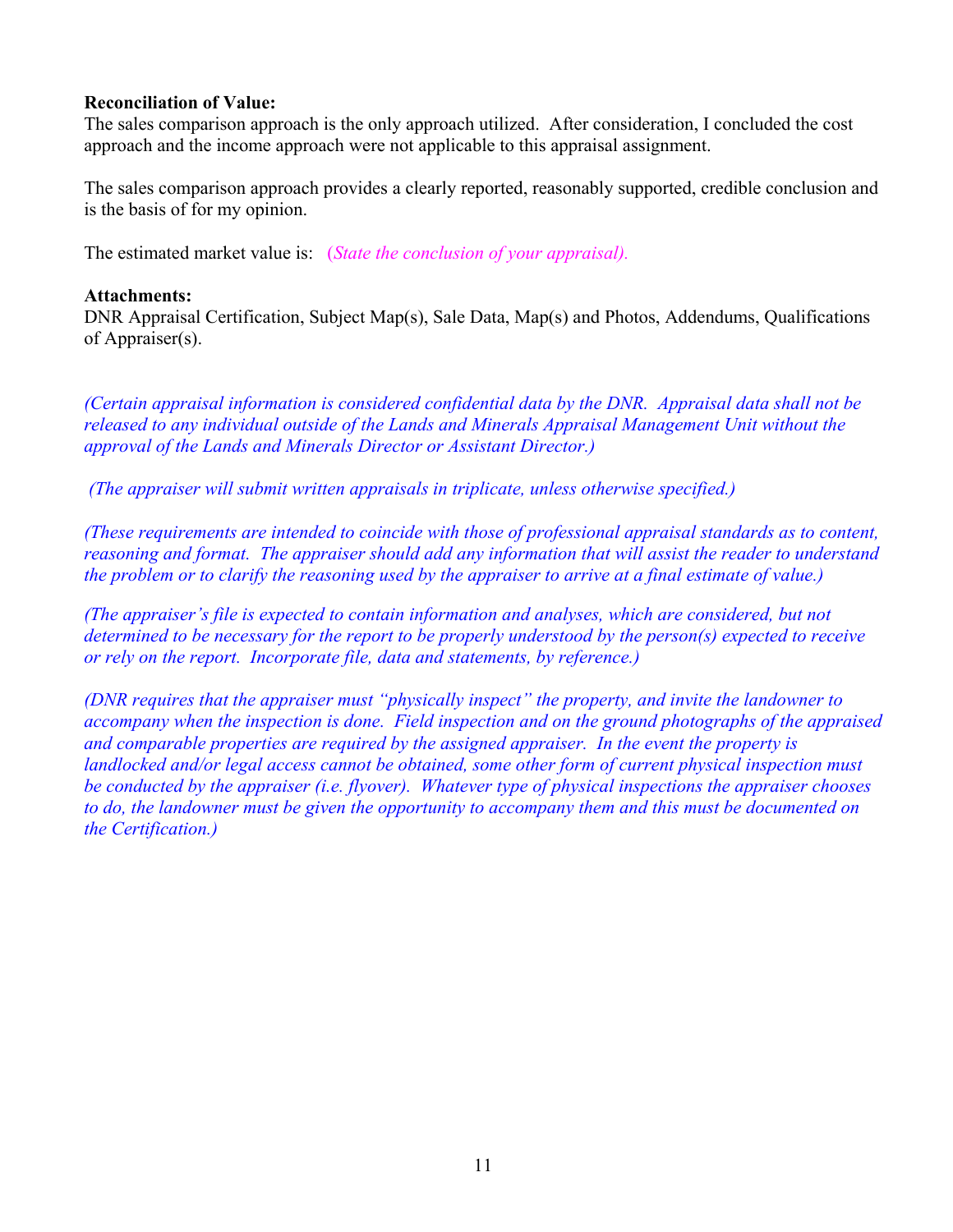#### **Reconciliation of Value:**

The sales comparison approach is the only approach utilized. After consideration, I concluded the cost approach and the income approach were not applicable to this appraisal assignment.

The sales comparison approach provides a clearly reported, reasonably supported, credible conclusion and is the basis of for my opinion.

The estimated market value is: (*State the conclusion of your appraisal).*

#### **Attachments:**

DNR Appraisal Certification, Subject Map(s), Sale Data, Map(s) and Photos, Addendums, Qualifications of Appraiser(s).

*(Certain appraisal information is considered confidential data by the DNR. Appraisal data shall not be released to any individual outside of the Lands and Minerals Appraisal Management Unit without the approval of the Lands and Minerals Director or Assistant Director.)* 

 *(The appraiser will submit written appraisals in triplicate, unless otherwise specified.)* 

*(These requirements are intended to coincide with those of professional appraisal standards as to content, reasoning and format. The appraiser should add any information that will assist the reader to understand the problem or to clarify the reasoning used by the appraiser to arrive at a final estimate of value.)* 

*(The appraiser's file is expected to contain information and analyses, which are considered, but not determined to be necessary for the report to be properly understood by the person(s) expected to receive or rely on the report. Incorporate file, data and statements, by reference.)* 

*(DNR requires that the appraiser must "physically inspect" the property, and invite the landowner to accompany when the inspection is done. Field inspection and on the ground photographs of the appraised and comparable properties are required by the assigned appraiser. In the event the property is landlocked and/or legal access cannot be obtained, some other form of current physical inspection must be conducted by the appraiser (i.e. flyover). Whatever type of physical inspections the appraiser chooses to do, the landowner must be given the opportunity to accompany them and this must be documented on the Certification.)*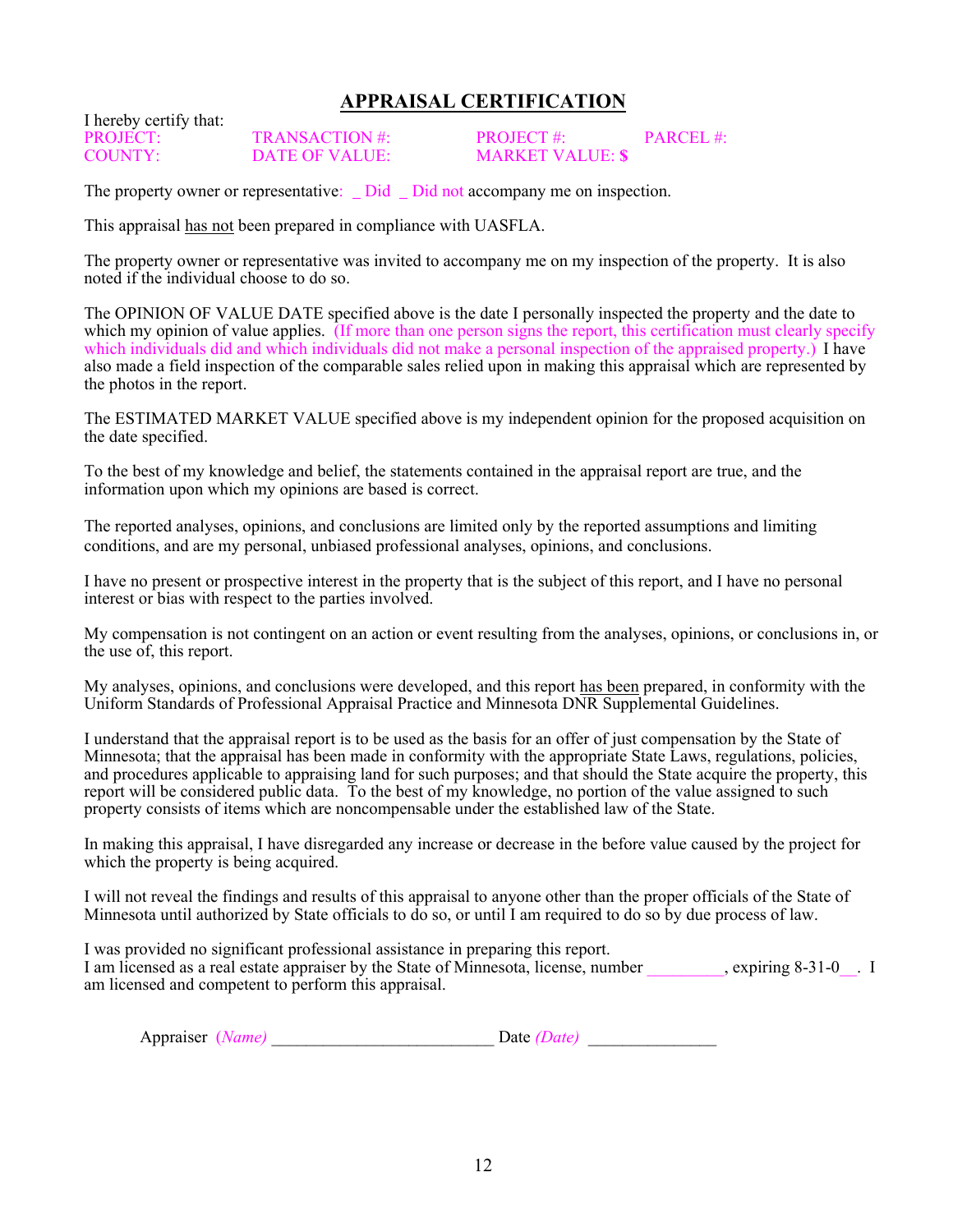## **APPRAISAL CERTIFICATION**

I hereby certify that:

PROJECT: TRANSACTION #: PROJECT #: PARCEL #:<br>COUNTY: DATE OF VALUE: MARKET VALUE: \$ COUNTY: DATE OF VALUE: MARKET VALUE: **\$**

The property owner or representative: Did Did not accompany me on inspection.

This appraisal has not been prepared in compliance with UASFLA.

The property owner or representative was invited to accompany me on my inspection of the property. It is also noted if the individual choose to do so.

The OPINION OF VALUE DATE specified above is the date I personally inspected the property and the date to which my opinion of value applies. (If more than one person signs the report, this certification must clearly specify which individuals did and which individuals did not make a personal inspection of the appraised property.) I have also made a field inspection of the comparable sales relied upon in making this appraisal which are represented by the photos in the report.

The ESTIMATED MARKET VALUE specified above is my independent opinion for the proposed acquisition on the date specified.

To the best of my knowledge and belief, the statements contained in the appraisal report are true, and the information upon which my opinions are based is correct.

The reported analyses, opinions, and conclusions are limited only by the reported assumptions and limiting conditions, and are my personal, unbiased professional analyses, opinions, and conclusions.

I have no present or prospective interest in the property that is the subject of this report, and I have no personal interest or bias with respect to the parties involved.

My compensation is not contingent on an action or event resulting from the analyses, opinions, or conclusions in, or the use of, this report.

My analyses, opinions, and conclusions were developed, and this report has been prepared, in conformity with the Uniform Standards of Professional Appraisal Practice and Minnesota DNR Supplemental Guidelines.

I understand that the appraisal report is to be used as the basis for an offer of just compensation by the State of Minnesota; that the appraisal has been made in conformity with the appropriate State Laws, regulations, policies, and procedures applicable to appraising land for such purposes; and that should the State acquire the property, this report will be considered public data. To the best of my knowledge, no portion of the value assigned to such property consists of items which are noncompensable under the established law of the State.

In making this appraisal, I have disregarded any increase or decrease in the before value caused by the project for which the property is being acquired.

I will not reveal the findings and results of this appraisal to anyone other than the proper officials of the State of Minnesota until authorized by State officials to do so, or until I am required to do so by due process of law.

I was provided no significant professional assistance in preparing this report. I am licensed as a real estate appraiser by the State of Minnesota, license, number expiring 8-31-0. I am licensed and competent to perform this appraisal.

| Appraiser | <b>Date</b> |  |
|-----------|-------------|--|
|           |             |  |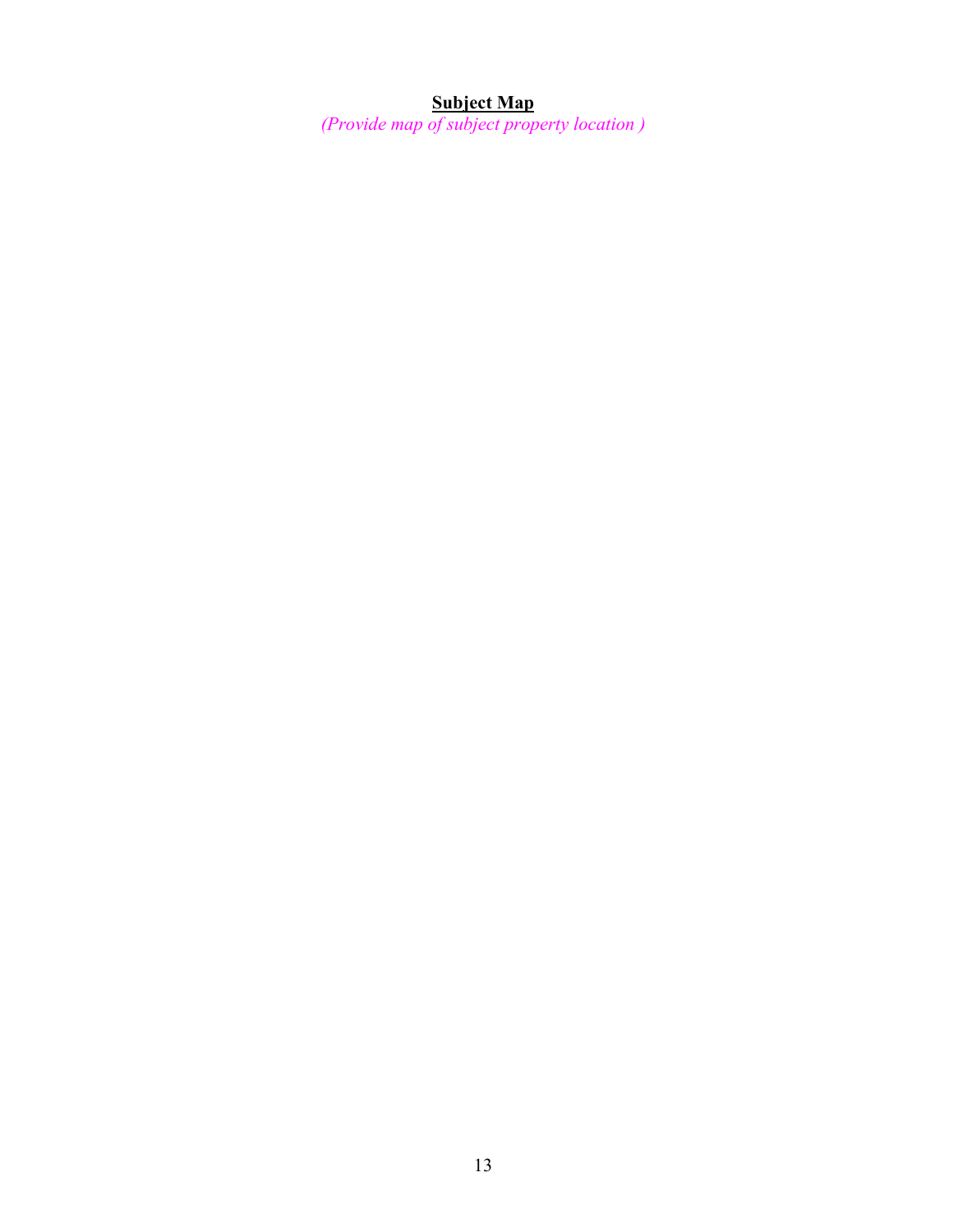#### **Subject Map**

*(Provide map of subject property location )*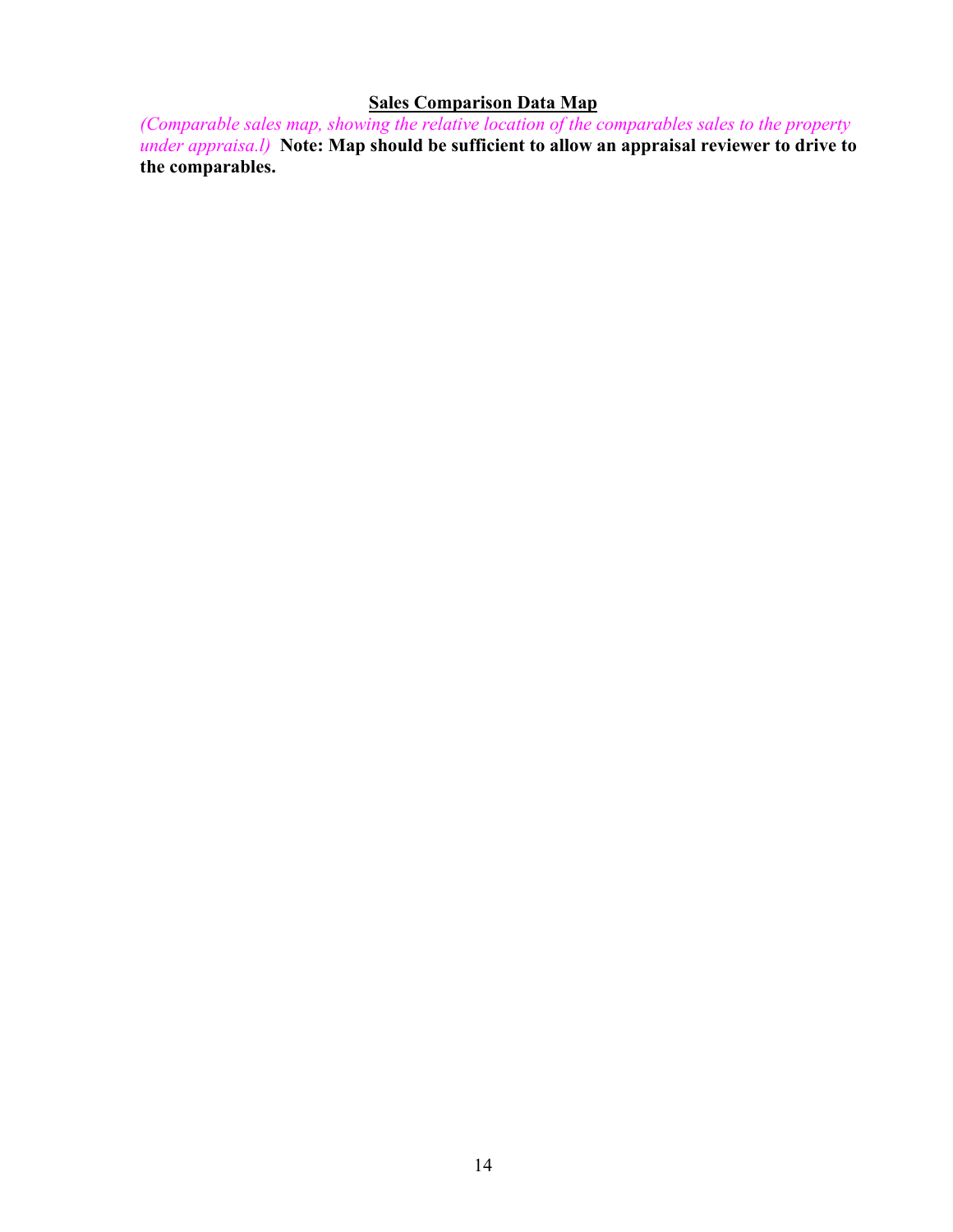## **Sales Comparison Data Map**

*(Comparable sales map, showing the relative location of the comparables sales to the property under appraisa.l)* **Note: Map should be sufficient to allow an appraisal reviewer to drive to the comparables.**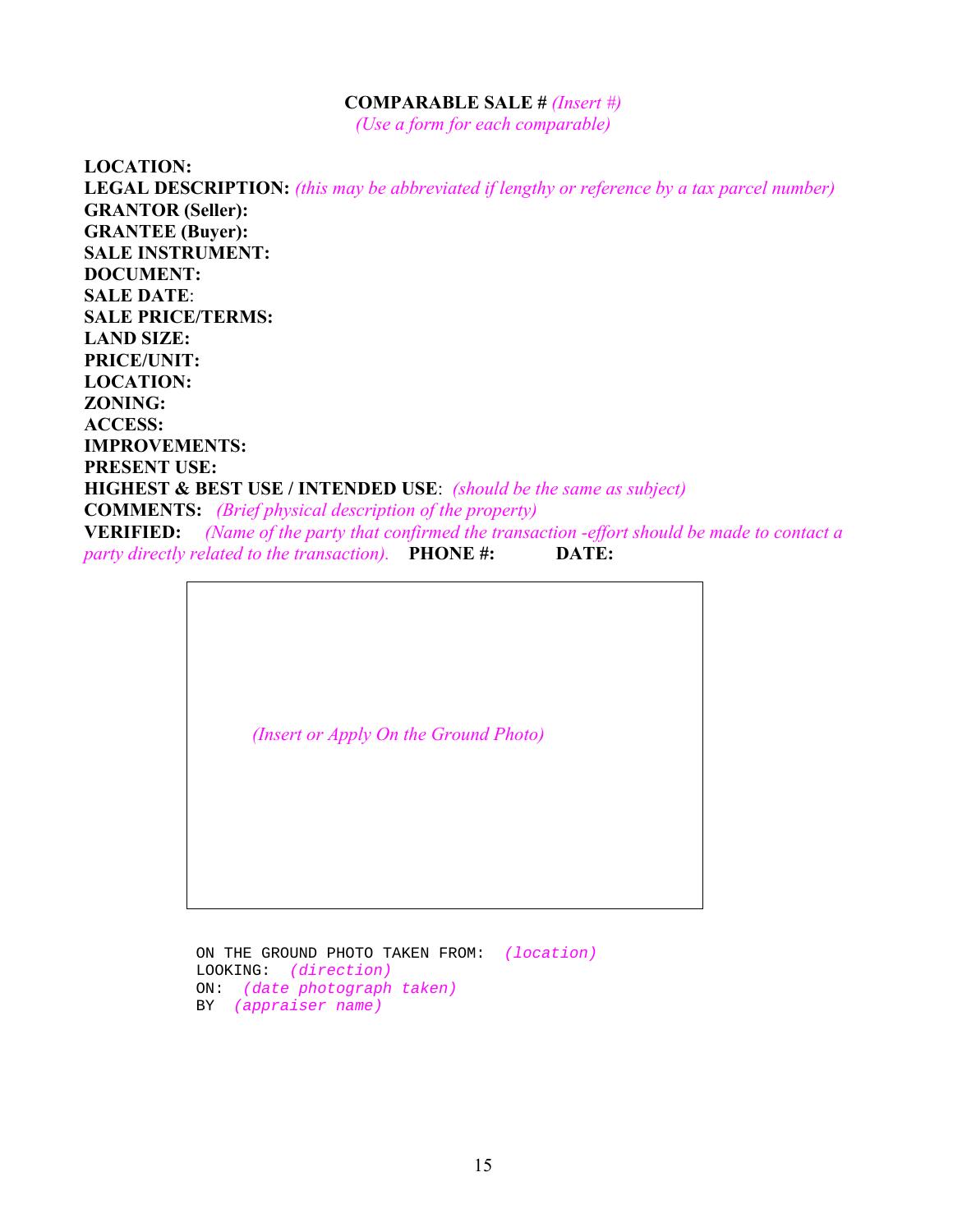#### **COMPARABLE SALE #** *(Insert #)*

*(Use a form for each comparable)* 

**LOCATION: LEGAL DESCRIPTION:** *(this may be abbreviated if lengthy or reference by a tax parcel number)*  **GRANTOR (Seller): GRANTEE (Buyer): SALE INSTRUMENT: DOCUMENT: SALE DATE**: **SALE PRICE/TERMS: LAND SIZE: PRICE/UNIT: LOCATION: ZONING: ACCESS: IMPROVEMENTS: PRESENT USE: HIGHEST & BEST USE / INTENDED USE**: *(should be the same as subject)*  **COMMENTS:** *(Brief physical description of the property)* **VERIFIED:** *(Name of the party that confirmed the transaction -effort should be made to contact a party directly related to the transaction).* **PHONE #: DATE:**

*(Insert or Apply On the Ground Photo)* 

ON THE GROUND PHOTO TAKEN FROM: *(location)*  LOOKING: *(direction)*  ON: *(date photograph taken)*  BY *(appraiser name)*